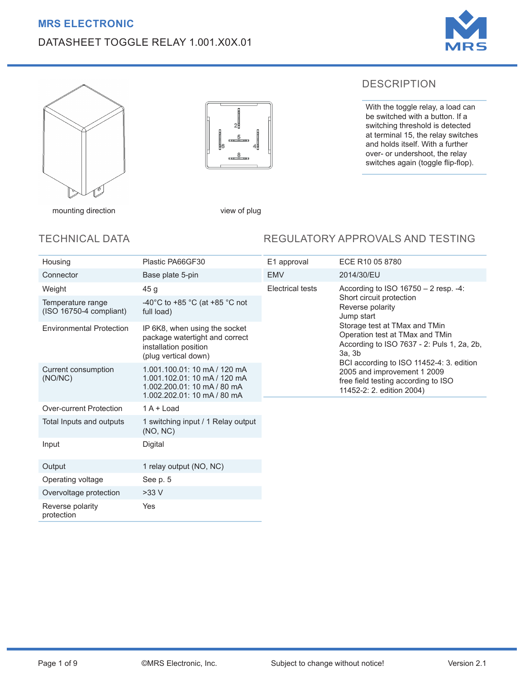## **MRS ELECTRONIC**

# DATASHEET TOGGLE RELAY 1.001.X0X.01





 $\mathfrak{D}$ 

mounting direction view of plug

## TECHNICAL DATA

### REGULATORY APPROVALS AND TESTING

DESCRIPTION

With the toggle relay, a load can be switched with a button. If a switching threshold is detected at terminal 15, the relay switches and holds itself. With a further over- or undershoot, the relay switches again (toggle flip-flop).

| Housing                                        | Plastic PA66GF30                                                                                                           | E1 approval      | ECE R10 05 8780                                                                                                                             |  |  |
|------------------------------------------------|----------------------------------------------------------------------------------------------------------------------------|------------------|---------------------------------------------------------------------------------------------------------------------------------------------|--|--|
| Connector                                      | Base plate 5-pin                                                                                                           | <b>EMV</b>       | 2014/30/EU                                                                                                                                  |  |  |
| Weight                                         | 45 g                                                                                                                       | Electrical tests | According to ISO 16750 - 2 resp. - 4:                                                                                                       |  |  |
| Temperature range<br>$(ISO 16750-4$ compliant) | -40°C to +85 °C (at +85 °C not<br>full load)                                                                               |                  | Short circuit protection<br>Reverse polarity<br>Jump start                                                                                  |  |  |
| <b>Environmental Protection</b>                | IP 6K8, when using the socket<br>package watertight and correct<br>installation position<br>(plug vertical down)           |                  | Storage test at TMax and TMin<br>Operation test at TMax and TMin<br>According to ISO 7637 - 2: Puls 1, 2a, 2b,<br>3a, 3b                    |  |  |
| Current consumption<br>(NO/NC)                 | 1.001.100.01: 10 mA / 120 mA<br>1.001.102.01: 10 mA / 120 mA<br>1.002.200.01: 10 mA / 80 mA<br>1.002.202.01: 10 mA / 80 mA |                  | BCI according to ISO 11452-4: 3. edition<br>2005 and improvement 1 2009<br>free field testing according to ISO<br>11452-2: 2. edition 2004) |  |  |
| Over-current Protection                        | $1A +$ Load                                                                                                                |                  |                                                                                                                                             |  |  |
| Total Inputs and outputs                       | 1 switching input / 1 Relay output<br>(NO, NC)                                                                             |                  |                                                                                                                                             |  |  |
| Input                                          | Digital                                                                                                                    |                  |                                                                                                                                             |  |  |
| Output                                         | 1 relay output (NO, NC)                                                                                                    |                  |                                                                                                                                             |  |  |
| Operating voltage                              | See p. 5                                                                                                                   |                  |                                                                                                                                             |  |  |
| Overvoltage protection                         | $>33$ V                                                                                                                    |                  |                                                                                                                                             |  |  |
| Reverse polarity<br>protection                 | Yes                                                                                                                        |                  |                                                                                                                                             |  |  |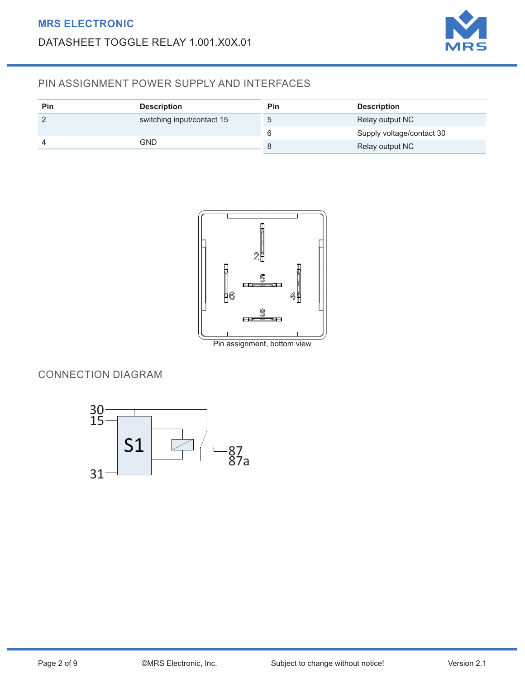

# PIN ASSIGNMENT POWER SUPPLY AND INTERFACES

| Pin | <b>Description</b>         | Pin     | <b>Description</b>        |
|-----|----------------------------|---------|---------------------------|
|     | switching input/contact 15 | $\circ$ | Relay output NC           |
|     |                            | b       | Supply voltage/contact 30 |
|     | GND                        |         | Relay output NC           |



Pin assignment, bottom view

# CONNECTION DIAGRAM

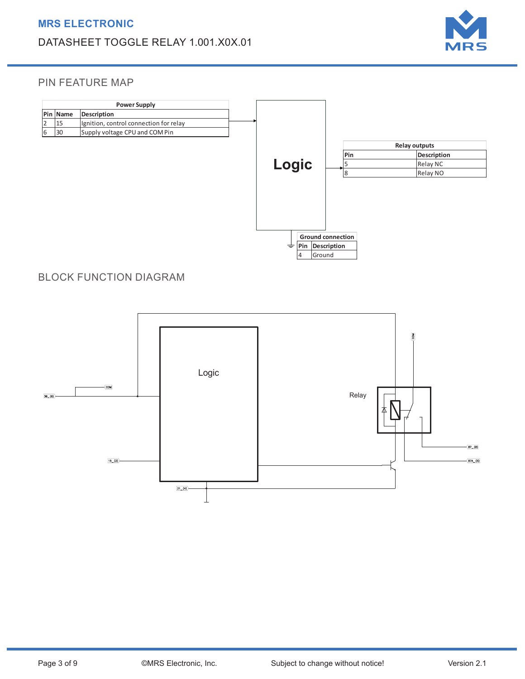

#### PIN FEATURE MAP



## BLOCK FUNCTION DIAGRAM

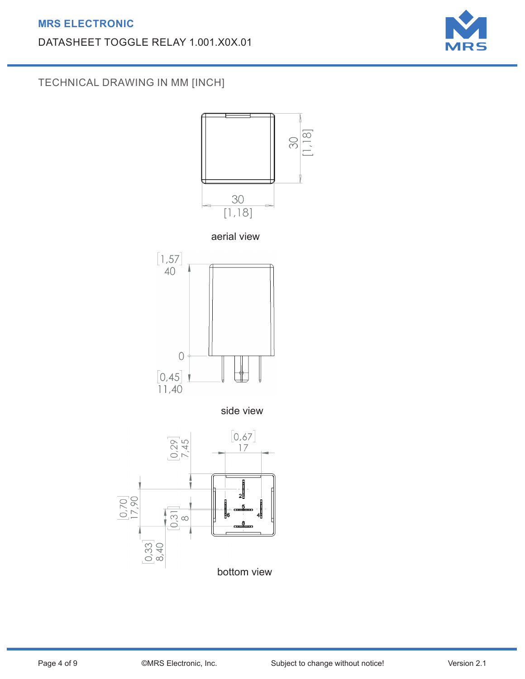# **MRS ELECTRONIC**

# DATASHEET TOGGLE RELAY 1.001.X0X.01



TECHNICAL DRAWING IN MM [INCH]

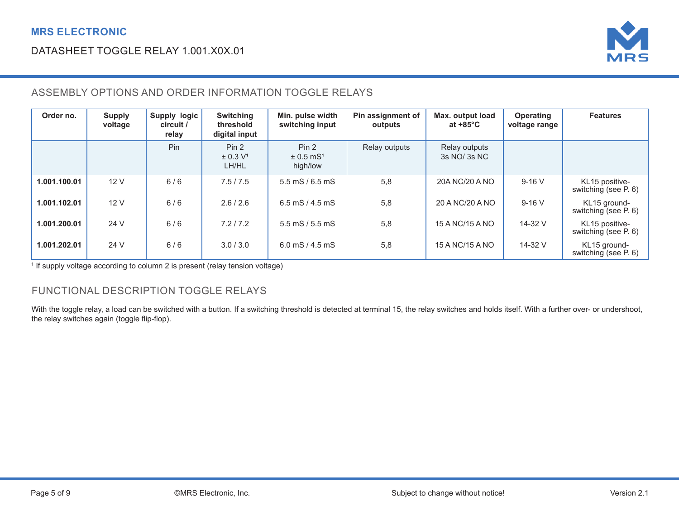

# ASSEMBLY OPTIONS AND ORDER INFORMATION TOGGLE RELAYS

| Order no.    | <b>Supply</b><br>voltage | Supply logic<br>circuit /<br>relay | <b>Switching</b><br>threshold<br>digital input    | Min. pulse width<br>switching input            | Pin assignment of<br>outputs | Max. output load<br>at $+85^{\circ}$ C | <b>Operating</b><br>voltage range | <b>Features</b>                        |
|--------------|--------------------------|------------------------------------|---------------------------------------------------|------------------------------------------------|------------------------------|----------------------------------------|-----------------------------------|----------------------------------------|
|              |                          | Pin                                | Pin <sub>2</sub><br>± 0.3 V <sup>1</sup><br>LH/HL | Pin 2<br>$\pm 0.5$ mS <sup>1</sup><br>high/low | Relay outputs                | Relay outputs<br>$3s$ NO/ $3s$ NC      |                                   |                                        |
| 1.001.100.01 | 12 V                     | 6/6                                | 7.5/7.5                                           | $5.5$ mS $/ 6.5$ mS                            | 5,8                          | 20A NC/20 A NO                         | $9-16$ V                          | KL15 positive-<br>switching (see P. 6) |
| 1.001.102.01 | 12 V                     | 6/6                                | 2.6/2.6                                           | 6.5 mS $/$ 4.5 mS                              | 5,8                          | 20 A NC/20 A NO                        | $9-16V$                           | KL15 ground-<br>switching (see P. 6)   |
| 1.001.200.01 | 24 V                     | 6/6                                | 7.2/7.2                                           | $5.5 \,\mathrm{mS}$ / $5.5 \,\mathrm{mS}$      | 5,8                          | 15 A NC/15 A NO                        | 14-32 V                           | KL15 positive-<br>switching (see P. 6) |
| 1.001.202.01 | 24 V                     | 6/6                                | 3.0/3.0                                           | 6.0 mS $/$ 4.5 mS                              | 5,8                          | 15 A NC/15 A NO                        | 14-32 V                           | KL15 ground-<br>switching (see P. 6)   |

<sup>1</sup> If supply voltage according to column 2 is present (relay tension voltage)

## FUNCTIONAL DESCRIPTION TOGGLE RELAYS

With the toggle relay, a load can be switched with a button. If a switching threshold is detected at terminal 15, the relay switches and holds itself. With a further over- or undershoot, the relay switches again (toggle flip-flop).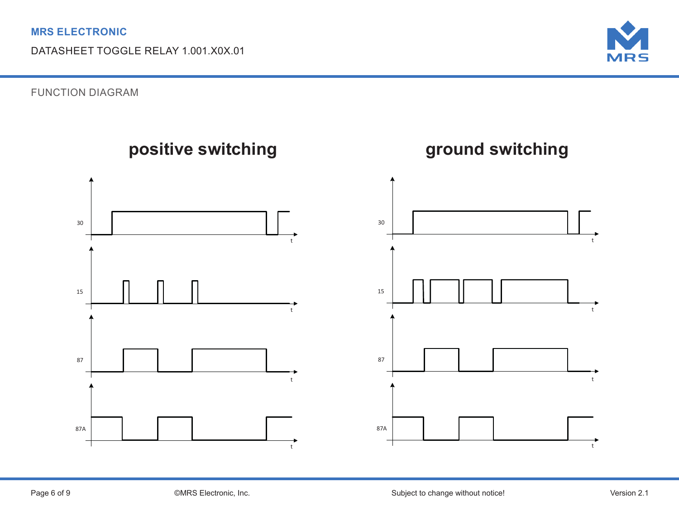

FUNCTION DIAGRAM

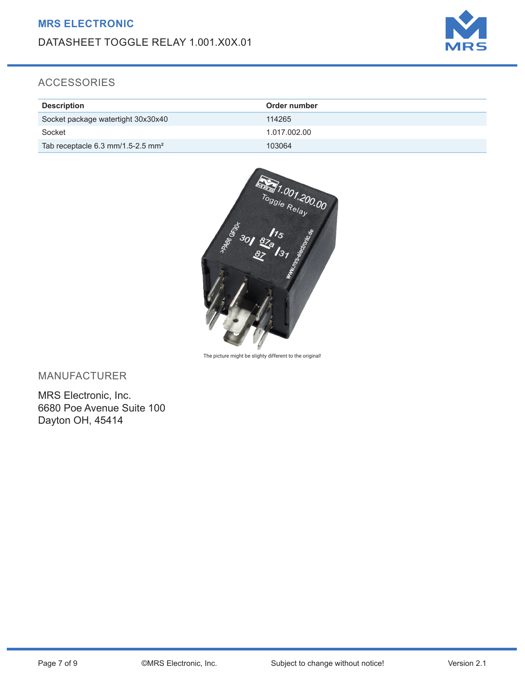

## ACCESSORIES

| <b>Description</b>                            | Order number |
|-----------------------------------------------|--------------|
| Socket package watertight 30x30x40            | 114265       |
| Socket                                        | 1.017.002.00 |
| Tab receptacle 6.3 mm/1.5-2.5 mm <sup>2</sup> | 103064       |



The picture might be slighty different to the original!

MANUFACTURER

MRS Electronic, Inc. 6680 Poe Avenue Suite 100 Dayton OH, 45414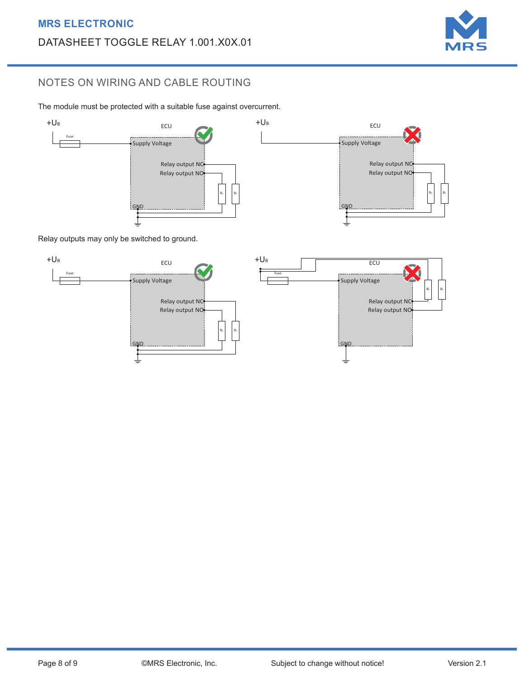

RL

RL

RL

## NOTES ON WIRING AND CABLE ROUTING

The module must be protected with a suitable fuse against overcurrent.<br>-



Relay outputs may only be switched to ground.